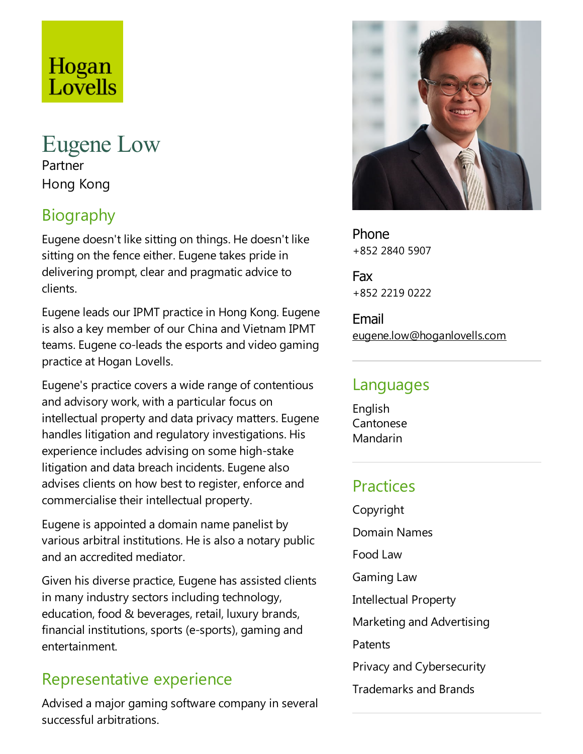# Hogan Lovells

# Eugene Low Partner Hong Kong

# Biography

Eugene doesn't like sitting on things. He doesn't like sitting on the fence either. Eugene takes pride in delivering prompt, clear and pragmatic advice to clients.

Eugene leads our IPMT practice in Hong Kong. Eugene is also a key member of our China and Vietnam IPMT teams. Eugene co-leads the esports and video gaming practice at Hogan Lovells.

Eugene's practice covers a wide range of contentious and advisory work, with a particular focus on intellectual property and data privacy matters. Eugene handles litigation and regulatory investigations. His experience includes advising on some high-stake litigation and data breach incidents. Eugene also advises clients on how best to register, enforce and commercialise their intellectual property.

Eugene is appointed a domain name panelist by various arbitral institutions. He is also a notary public and an accredited mediator.

Given his diverse practice, Eugene has assisted clients in many industry sectors including technology, education, food & beverages, retail, luxury brands, financial institutions, sports (e-sports), gaming and entertainment.

# Representative experience

Advised a major gaming software company in several successful arbitrations.



Phone +852 2840 5907

Fax +852 2219 0222

Email eugene.low@hoganlovells.com

# Languages

English Cantonese Mandarin

# **Practices**

Copyright Domain Names Food Law Gaming Law Intellectual Property Marketing and Advertising **Patents** Privacy and Cybersecurity Trademarks and Brands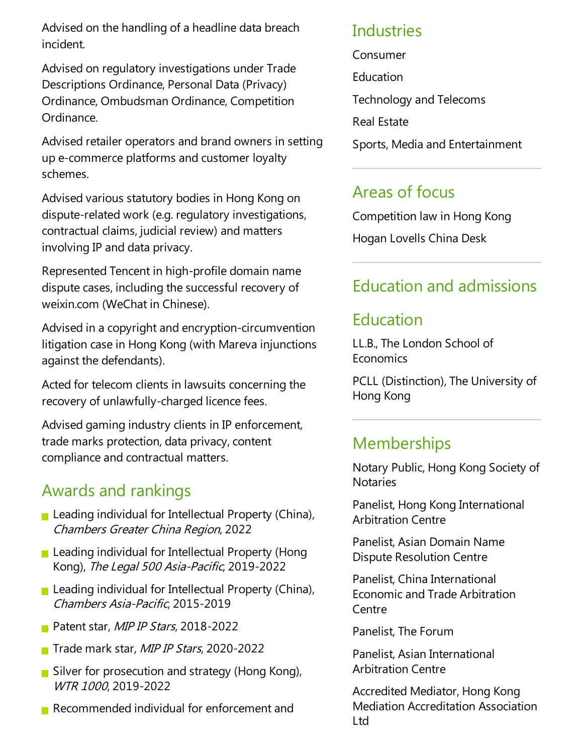Advised on the handling of a headline data breach incident.

Advised on regulatory investigations under Trade Descriptions Ordinance, Personal Data(Privacy) Ordinance, Ombudsman Ordinance, Competition Ordinance.

Advised retailer operators and brand owners in setting up e-commerce platforms and customer loyalty schemes.

Advised various statutory bodies in Hong Kong on dispute-related work (e.g. regulatory investigations, contractual claims, judicial review) and matters involving IP and data privacy.

Represented Tencent in high-profile domain name dispute cases, including the successful recovery of weixin.com (WeChat in Chinese).

Advised in a copyright and encryption-circumvention litigation case in Hong Kong (with Mareva injunctions against the defendants).

Acted for telecom clients in lawsuits concerning the recovery of unlawfully-charged licence fees.

Advised gaming industry clients in IP enforcement, trade marks protection, data privacy, content compliance and contractual matters.

# Awards and rankings

- **Leading individual for Intellectual Property (China),** Chambers Greater China Region, 2022
- **Leading individual for Intellectual Property (Hong** Kong), The Legal 500 Asia-Pacific, 2019-2022
- **Leading individual for Intellectual Property (China),** Chambers Asia-Pacific, 2015-2019
- Patent star, MIP IP Stars, 2018-2022
- Trade mark star, MIP IP Stars, 2020-2022
- Silver for prosecution and strategy (Hong Kong), WTR <sup>1000</sup>, 2019-2022
- Recommended individual for enforcement and

#### Industries

Consumer

- **Education**
- Technology and Telecoms
- Real Estate
- Sports, Media and Entertainment

# Areas of focus

Competition law in Hong Kong Hogan Lovells China Desk

# Education and admissions

### Education

LL.B., The London School of **Economics** 

PCLL (Distinction), The University of Hong Kong

# **Memberships**

Notary Public, Hong Kong Society of **Notaries** 

Panelist, Hong Kong International Arbitration Centre

Panelist, Asian Domain Name Dispute Resolution Centre

Panelist, China International Economicand Trade Arbitration Centre

Panelist, The Forum

Panelist, Asian International Arbitration Centre

Accredited Mediator, Hong Kong Mediation Accreditation Association Ltd